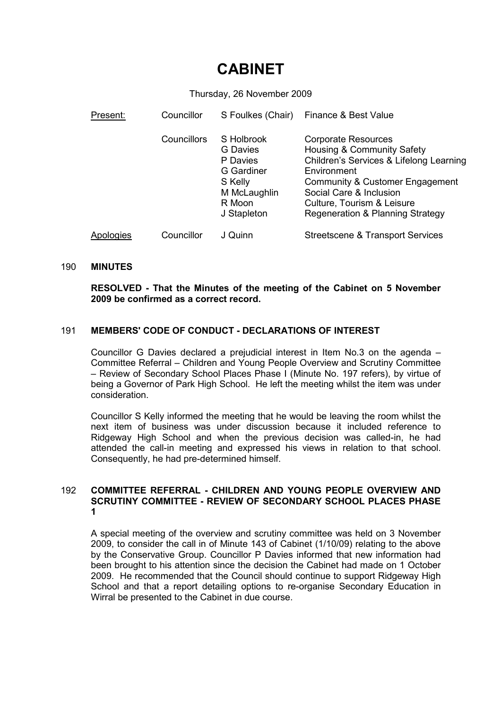# CABINET

Thursday, 26 November 2009

| Present:  | Councillor  | S Foulkes (Chair)                                                                                                  | Finance & Best Value                                                                                                                                                                                                                               |
|-----------|-------------|--------------------------------------------------------------------------------------------------------------------|----------------------------------------------------------------------------------------------------------------------------------------------------------------------------------------------------------------------------------------------------|
|           | Councillors | S Holbrook<br><b>G</b> Davies<br>P Davies<br><b>G</b> Gardiner<br>S Kelly<br>M McLaughlin<br>R Moon<br>J Stapleton | <b>Corporate Resources</b><br>Housing & Community Safety<br>Children's Services & Lifelong Learning<br>Environment<br>Community & Customer Engagement<br>Social Care & Inclusion<br>Culture, Tourism & Leisure<br>Regeneration & Planning Strategy |
| Apologies | Councillor  | J Quinn                                                                                                            | Streetscene & Transport Services                                                                                                                                                                                                                   |

#### 190 MINUTES

RESOLVED - That the Minutes of the meeting of the Cabinet on 5 November 2009 be confirmed as a correct record.

# 191 MEMBERS' CODE OF CONDUCT - DECLARATIONS OF INTEREST

Councillor G Davies declared a prejudicial interest in Item No.3 on the agenda – Committee Referral – Children and Young People Overview and Scrutiny Committee – Review of Secondary School Places Phase I (Minute No. 197 refers), by virtue of being a Governor of Park High School. He left the meeting whilst the item was under consideration.

Councillor S Kelly informed the meeting that he would be leaving the room whilst the next item of business was under discussion because it included reference to Ridgeway High School and when the previous decision was called-in, he had attended the call-in meeting and expressed his views in relation to that school. Consequently, he had pre-determined himself.

### 192 COMMITTEE REFERRAL - CHILDREN AND YOUNG PEOPLE OVERVIEW AND SCRUTINY COMMITTEE - REVIEW OF SECONDARY SCHOOL PLACES PHASE 1

A special meeting of the overview and scrutiny committee was held on 3 November 2009, to consider the call in of Minute 143 of Cabinet (1/10/09) relating to the above by the Conservative Group. Councillor P Davies informed that new information had been brought to his attention since the decision the Cabinet had made on 1 October 2009. He recommended that the Council should continue to support Ridgeway High School and that a report detailing options to re-organise Secondary Education in Wirral be presented to the Cabinet in due course.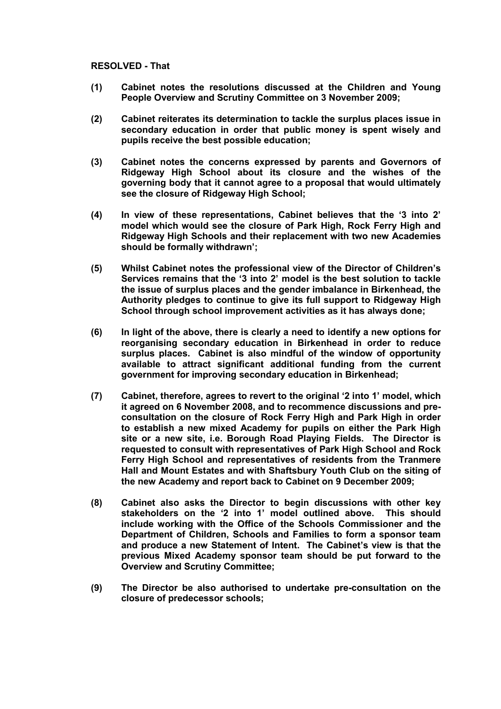RESOLVED - That

- (1) Cabinet notes the resolutions discussed at the Children and Young People Overview and Scrutiny Committee on 3 November 2009;
- (2) Cabinet reiterates its determination to tackle the surplus places issue in secondary education in order that public money is spent wisely and pupils receive the best possible education;
- (3) Cabinet notes the concerns expressed by parents and Governors of Ridgeway High School about its closure and the wishes of the governing body that it cannot agree to a proposal that would ultimately see the closure of Ridgeway High School;
- (4) In view of these representations, Cabinet believes that the '3 into 2' model which would see the closure of Park High, Rock Ferry High and Ridgeway High Schools and their replacement with two new Academies should be formally withdrawn';
- (5) Whilst Cabinet notes the professional view of the Director of Children's Services remains that the '3 into 2' model is the best solution to tackle the issue of surplus places and the gender imbalance in Birkenhead, the Authority pledges to continue to give its full support to Ridgeway High School through school improvement activities as it has always done;
- (6) In light of the above, there is clearly a need to identify a new options for reorganising secondary education in Birkenhead in order to reduce surplus places. Cabinet is also mindful of the window of opportunity available to attract significant additional funding from the current government for improving secondary education in Birkenhead;
- (7) Cabinet, therefore, agrees to revert to the original '2 into 1' model, which it agreed on 6 November 2008, and to recommence discussions and preconsultation on the closure of Rock Ferry High and Park High in order to establish a new mixed Academy for pupils on either the Park High site or a new site, i.e. Borough Road Playing Fields. The Director is requested to consult with representatives of Park High School and Rock Ferry High School and representatives of residents from the Tranmere Hall and Mount Estates and with Shaftsbury Youth Club on the siting of the new Academy and report back to Cabinet on 9 December 2009;
- (8) Cabinet also asks the Director to begin discussions with other key stakeholders on the '2 into 1' model outlined above. This should include working with the Office of the Schools Commissioner and the Department of Children, Schools and Families to form a sponsor team and produce a new Statement of Intent. The Cabinet's view is that the previous Mixed Academy sponsor team should be put forward to the Overview and Scrutiny Committee;
- (9) The Director be also authorised to undertake pre-consultation on the closure of predecessor schools;